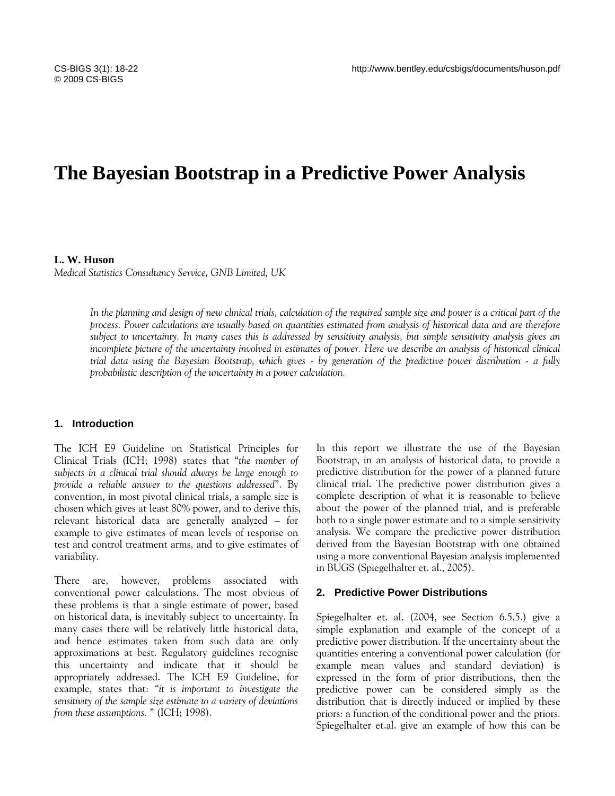# **The Bayesian Bootstrap in a Predictive Power Analysis**

# **L. W. Huson**

*Medical Statistics Consultancy Service, GNB Limited, UK* 

*In the planning and design of new clinical trials, calculation of the required sample size and power is a critical part of the process. Power calculations are usually based on quantities estimated from analysis of historical data and are therefore subject to uncertainty. In many cases this is addressed by sensitivity analysis, but simple sensitivity analysis gives an incomplete picture of the uncertainty involved in estimates of power. Here we describe an analysis of historical clinical trial data using the Bayesian Bootstrap, which gives - by generation of the predictive power distribution - a fully probabilistic description of the uncertainty in a power calculation.* 

# **1. Introduction**

The ICH E9 Guideline on Statistical Principles for Clinical Trials (ICH; 1998) states that "*the number of subjects in a clinical trial should always be large enough to provide a reliable answer to the questions addressed*". By convention, in most pivotal clinical trials, a sample size is chosen which gives at least 80% power, and to derive this, relevant historical data are generally analyzed – for example to give estimates of mean levels of response on test and control treatment arms, and to give estimates of variability.

There are, however, problems associated with conventional power calculations. The most obvious of these problems is that a single estimate of power, based on historical data, is inevitably subject to uncertainty. In many cases there will be relatively little historical data, and hence estimates taken from such data are only approximations at best. Regulatory guidelines recognise this uncertainty and indicate that it should be appropriately addressed. The ICH E9 Guideline, for example, states that: "*it is important to investigate the sensitivity of the sample size estimate to a variety of deviations from these assumptions.* " (ICH; 1998).

In this report we illustrate the use of the Bayesian Bootstrap, in an analysis of historical data, to provide a predictive distribution for the power of a planned future clinical trial. The predictive power distribution gives a complete description of what it is reasonable to believe about the power of the planned trial, and is preferable both to a single power estimate and to a simple sensitivity analysis. We compare the predictive power distribution derived from the Bayesian Bootstrap with one obtained using a more conventional Bayesian analysis implemented in BUGS (Spiegelhalter et. al., 2005).

# **2. Predictive Power Distributions**

Spiegelhalter et. al. (2004, see Section 6.5.5.) give a simple explanation and example of the concept of a predictive power distribution. If the uncertainty about the quantities entering a conventional power calculation (for example mean values and standard deviation) is expressed in the form of prior distributions, then the predictive power can be considered simply as the distribution that is directly induced or implied by these priors: a function of the conditional power and the priors. Spiegelhalter et.al. give an example of how this can be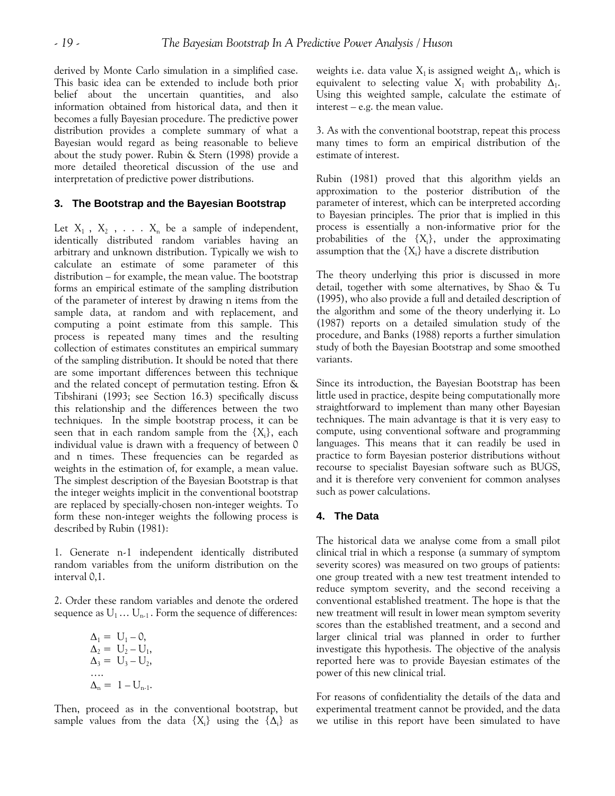derived by Monte Carlo simulation in a simplified case. This basic idea can be extended to include both prior belief about the uncertain quantities, and also information obtained from historical data, and then it becomes a fully Bayesian procedure. The predictive power distribution provides a complete summary of what a Bayesian would regard as being reasonable to believe about the study power. Rubin & Stern (1998) provide a more detailed theoretical discussion of the use and interpretation of predictive power distributions.

# **3. The Bootstrap and the Bayesian Bootstrap**

Let  $X_1$ ,  $X_2$ , ...  $X_n$  be a sample of independent, identically distributed random variables having an arbitrary and unknown distribution. Typically we wish to calculate an estimate of some parameter of this distribution – for example, the mean value. The bootstrap forms an empirical estimate of the sampling distribution of the parameter of interest by drawing n items from the sample data, at random and with replacement, and computing a point estimate from this sample. This process is repeated many times and the resulting collection of estimates constitutes an empirical summary of the sampling distribution. It should be noted that there are some important differences between this technique and the related concept of permutation testing. Efron & Tibshirani (1993; see Section 16.3) specifically discuss this relationship and the differences between the two techniques. In the simple bootstrap process, it can be seen that in each random sample from the  ${X_i}$ , each individual value is drawn with a frequency of between 0 and n times. These frequencies can be regarded as weights in the estimation of, for example, a mean value. The simplest description of the Bayesian Bootstrap is that the integer weights implicit in the conventional bootstrap are replaced by specially-chosen non-integer weights. To form these non-integer weights the following process is described by Rubin (1981):

1. Generate n-1 independent identically distributed random variables from the uniform distribution on the interval 0,1.

2. Order these random variables and denote the ordered sequence as  $U_1 \dots U_{n-1}$ . Form the sequence of differences:

$$
\Delta_1 = U_1 - 0,\n\Delta_2 = U_2 - U_1,\n\Delta_3 = U_3 - U_2,\n...\n\Delta_n = 1 - U_{n-1}.
$$

Then, proceed as in the conventional bootstrap, but sample values from the data  $\{X_i\}$  using the  $\{\Delta_i\}$  as weights i.e. data value  $X_1$  is assigned weight  $\Delta_1$ , which is equivalent to selecting value  $X_1$  with probability  $\Delta_1$ . Using this weighted sample, calculate the estimate of interest – e.g. the mean value.

3. As with the conventional bootstrap, repeat this process many times to form an empirical distribution of the estimate of interest.

Rubin (1981) proved that this algorithm yields an approximation to the posterior distribution of the parameter of interest, which can be interpreted according to Bayesian principles. The prior that is implied in this process is essentially a non-informative prior for the probabilities of the  $\{X_i\}$ , under the approximating assumption that the  $\{X_i\}$  have a discrete distribution

The theory underlying this prior is discussed in more detail, together with some alternatives, by Shao & Tu (1995), who also provide a full and detailed description of the algorithm and some of the theory underlying it. Lo (1987) reports on a detailed simulation study of the procedure, and Banks (1988) reports a further simulation study of both the Bayesian Bootstrap and some smoothed variants.

Since its introduction, the Bayesian Bootstrap has been little used in practice, despite being computationally more straightforward to implement than many other Bayesian techniques. The main advantage is that it is very easy to compute, using conventional software and programming languages. This means that it can readily be used in practice to form Bayesian posterior distributions without recourse to specialist Bayesian software such as BUGS, and it is therefore very convenient for common analyses such as power calculations.

# **4. The Data**

The historical data we analyse come from a small pilot clinical trial in which a response (a summary of symptom severity scores) was measured on two groups of patients: one group treated with a new test treatment intended to reduce symptom severity, and the second receiving a conventional established treatment. The hope is that the new treatment will result in lower mean symptom severity scores than the established treatment, and a second and larger clinical trial was planned in order to further investigate this hypothesis. The objective of the analysis reported here was to provide Bayesian estimates of the power of this new clinical trial.

For reasons of confidentiality the details of the data and experimental treatment cannot be provided, and the data we utilise in this report have been simulated to have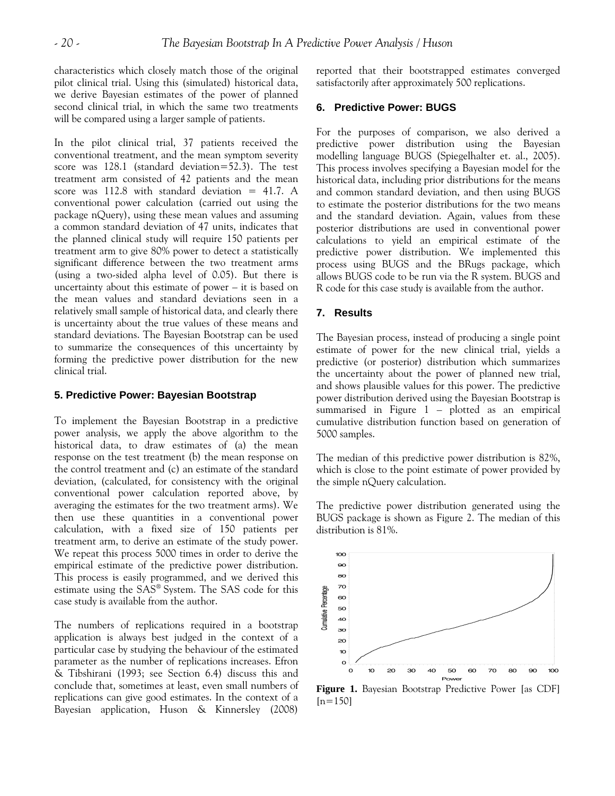characteristics which closely match those of the original pilot clinical trial. Using this (simulated) historical data, we derive Bayesian estimates of the power of planned second clinical trial, in which the same two treatments will be compared using a larger sample of patients.

In the pilot clinical trial, 37 patients received the conventional treatment, and the mean symptom severity score was 128.1 (standard deviation=52.3). The test treatment arm consisted of 42 patients and the mean score was 112.8 with standard deviation  $= 41.7.$  A conventional power calculation (carried out using the package nQuery), using these mean values and assuming a common standard deviation of 47 units, indicates that the planned clinical study will require 150 patients per treatment arm to give 80% power to detect a statistically significant difference between the two treatment arms (using a two-sided alpha level of 0.05). But there is uncertainty about this estimate of power – it is based on the mean values and standard deviations seen in a relatively small sample of historical data, and clearly there is uncertainty about the true values of these means and standard deviations. The Bayesian Bootstrap can be used to summarize the consequences of this uncertainty by forming the predictive power distribution for the new clinical trial.

#### **5. Predictive Power: Bayesian Bootstrap**

To implement the Bayesian Bootstrap in a predictive power analysis, we apply the above algorithm to the historical data, to draw estimates of (a) the mean response on the test treatment (b) the mean response on the control treatment and (c) an estimate of the standard deviation, (calculated, for consistency with the original conventional power calculation reported above, by averaging the estimates for the two treatment arms). We then use these quantities in a conventional power calculation, with a fixed size of 150 patients per treatment arm, to derive an estimate of the study power. We repeat this process 5000 times in order to derive the empirical estimate of the predictive power distribution. This process is easily programmed, and we derived this estimate using the SAS® System. The SAS code for this case study is available from the author.

The numbers of replications required in a bootstrap application is always best judged in the context of a particular case by studying the behaviour of the estimated parameter as the number of replications increases. Efron & Tibshirani (1993; see Section 6.4) discuss this and conclude that, sometimes at least, even small numbers of replications can give good estimates. In the context of a Bayesian application, Huson & Kinnersley (2008)

reported that their bootstrapped estimates converged satisfactorily after approximately 500 replications.

# **6. Predictive Power: BUGS**

For the purposes of comparison, we also derived a predictive power distribution using the Bayesian modelling language BUGS (Spiegelhalter et. al., 2005). This process involves specifying a Bayesian model for the historical data, including prior distributions for the means and common standard deviation, and then using BUGS to estimate the posterior distributions for the two means and the standard deviation. Again, values from these posterior distributions are used in conventional power calculations to yield an empirical estimate of the predictive power distribution. We implemented this process using BUGS and the BRugs package, which allows BUGS code to be run via the R system. BUGS and R code for this case study is available from the author.

# **7. Results**

The Bayesian process, instead of producing a single point estimate of power for the new clinical trial, yields a predictive (or posterior) distribution which summarizes the uncertainty about the power of planned new trial, and shows plausible values for this power. The predictive power distribution derived using the Bayesian Bootstrap is summarised in Figure 1 – plotted as an empirical cumulative distribution function based on generation of 5000 samples.

The median of this predictive power distribution is 82%, which is close to the point estimate of power provided by the simple nQuery calculation.

The predictive power distribution generated using the BUGS package is shown as Figure 2. The median of this distribution is 81%.



**Figure 1.** Bayesian Bootstrap Predictive Power [as CDF]  $[n=150]$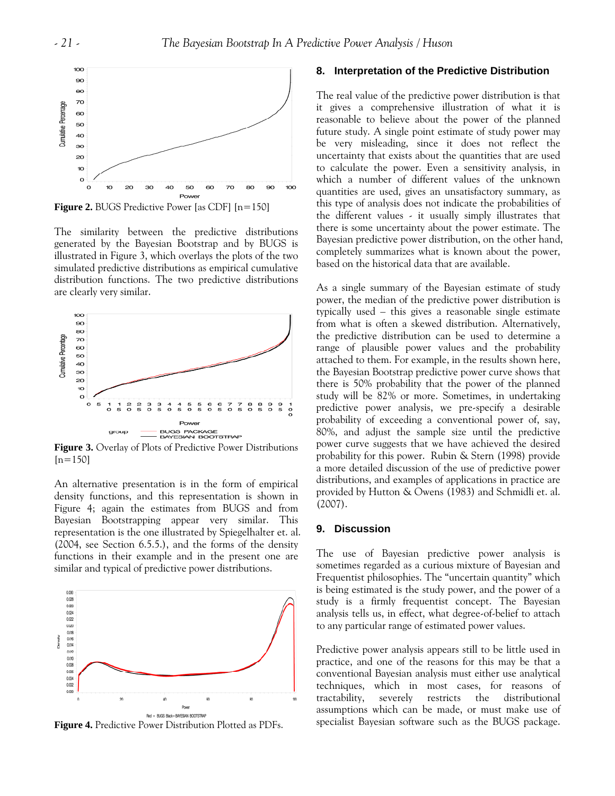

**Figure 2.** BUGS Predictive Power [as CDF]  $[n=150]$ 

The similarity between the predictive distributions generated by the Bayesian Bootstrap and by BUGS is illustrated in Figure 3, which overlays the plots of the two simulated predictive distributions as empirical cumulative distribution functions. The two predictive distributions are clearly very similar.



**Figure 3.** Overlay of Plots of Predictive Power Distributions  $[n=150]$ 

An alternative presentation is in the form of empirical density functions, and this representation is shown in Figure 4; again the estimates from BUGS and from Bayesian Bootstrapping appear very similar. This representation is the one illustrated by Spiegelhalter et. al. (2004, see Section 6.5.5.), and the forms of the density functions in their example and in the present one are similar and typical of predictive power distributions.



**Figure 4.** Predictive Power Distribution Plotted as PDFs.

#### **8. Interpretation of the Predictive Distribution**

The real value of the predictive power distribution is that it gives a comprehensive illustration of what it is reasonable to believe about the power of the planned future study. A single point estimate of study power may be very misleading, since it does not reflect the uncertainty that exists about the quantities that are used to calculate the power. Even a sensitivity analysis, in which a number of different values of the unknown quantities are used, gives an unsatisfactory summary, as this type of analysis does not indicate the probabilities of the different values - it usually simply illustrates that there is some uncertainty about the power estimate. The Bayesian predictive power distribution, on the other hand, completely summarizes what is known about the power, based on the historical data that are available.

As a single summary of the Bayesian estimate of study power, the median of the predictive power distribution is typically used – this gives a reasonable single estimate from what is often a skewed distribution. Alternatively, the predictive distribution can be used to determine a range of plausible power values and the probability attached to them. For example, in the results shown here, the Bayesian Bootstrap predictive power curve shows that there is 50% probability that the power of the planned study will be 82% or more. Sometimes, in undertaking predictive power analysis, we pre-specify a desirable probability of exceeding a conventional power of, say, 80%, and adjust the sample size until the predictive power curve suggests that we have achieved the desired probability for this power. Rubin & Stern (1998) provide a more detailed discussion of the use of predictive power distributions, and examples of applications in practice are provided by Hutton & Owens (1983) and Schmidli et. al. (2007).

# **9. Discussion**

The use of Bayesian predictive power analysis is sometimes regarded as a curious mixture of Bayesian and Frequentist philosophies. The "uncertain quantity" which is being estimated is the study power, and the power of a study is a firmly frequentist concept. The Bayesian analysis tells us, in effect, what degree-of-belief to attach to any particular range of estimated power values.

Predictive power analysis appears still to be little used in practice, and one of the reasons for this may be that a conventional Bayesian analysis must either use analytical techniques, which in most cases, for reasons of tractability, severely restricts the distributional assumptions which can be made, or must make use of specialist Bayesian software such as the BUGS package.